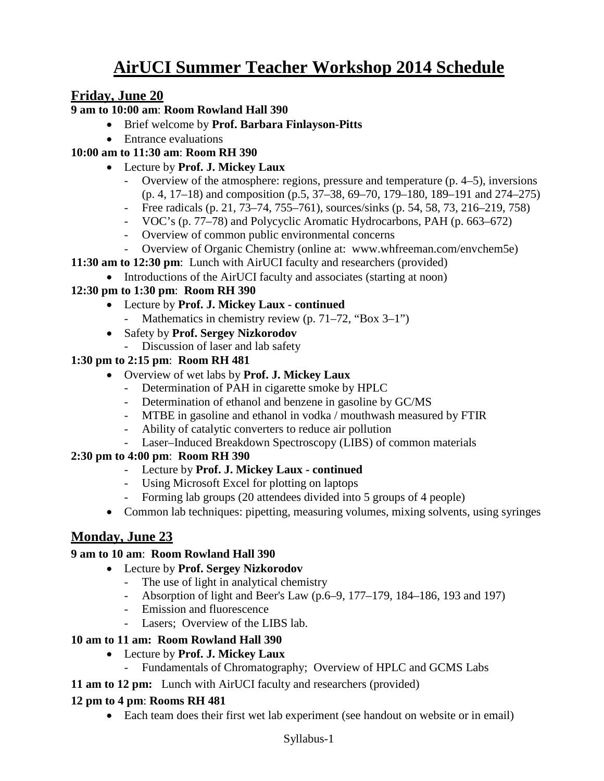# **AirUCI Summer Teacher Workshop 2014 Schedule**

# **Friday, June 20**

### **9 am to 10:00 am**: **Room Rowland Hall 390**

- Brief welcome by **Prof. Barbara Finlayson-Pitts**
- Entrance evaluations

## **10:00 am to 11:30 am**: **Room RH 390**

- Lecture by **Prof. J. Mickey Laux**
	- Overview of the atmosphere: regions, pressure and temperature (p. 4–5), inversions (p. 4, 17–18) and composition (p.5, 37–38, 69–70, 179–180, 189–191 and 274–275)
	- Free radicals (p. 21, 73–74, 755–761), sources/sinks (p. 54, 58, 73, 216–219, 758)
	- VOC's (p. 77–78) and Polycyclic Aromatic Hydrocarbons, PAH (p. 663–672)
	- Overview of common public environmental concerns
	- Overview of Organic Chemistry (online at: www.whfreeman.com/envchem5e)
- **11:30 am to 12:30 pm**: Lunch with AirUCI faculty and researchers (provided)
	- Introductions of the AirUCI faculty and associates (starting at noon)

### **12:30 pm to 1:30 pm**: **Room RH 390**

- Lecture by **Prof. J. Mickey Laux - continued**
	- Mathematics in chemistry review (p. 71–72, "Box 3–1")
- Safety by **Prof. Sergey Nizkorodov**
	- Discussion of laser and lab safety

### **1:30 pm to 2:15 pm**: **Room RH 481**

- Overview of wet labs by **Prof. J. Mickey Laux**
	- Determination of PAH in cigarette smoke by HPLC
	- Determination of ethanol and benzene in gasoline by GC/MS
	- MTBE in gasoline and ethanol in vodka / mouthwash measured by FTIR
	- Ability of catalytic converters to reduce air pollution
	- Laser–Induced Breakdown Spectroscopy (LIBS) of common materials

## **2:30 pm to 4:00 pm**: **Room RH 390**

- Lecture by **Prof. J. Mickey Laux - continued**
- Using Microsoft Excel for plotting on laptops
- Forming lab groups (20 attendees divided into 5 groups of 4 people)
- Common lab techniques: pipetting, measuring volumes, mixing solvents, using syringes

# **Monday, June 23**

#### **9 am to 10 am**: **Room Rowland Hall 390**

- Lecture by **Prof. Sergey Nizkorodov**
	- The use of light in analytical chemistry
	- Absorption of light and Beer's Law (p.6–9, 177–179, 184–186, 193 and 197)
	- Emission and fluorescence
	- Lasers; Overview of the LIBS lab.

#### **10 am to 11 am: Room Rowland Hall 390**

- Lecture by **Prof. J. Mickey Laux** 
	- Fundamentals of Chromatography; Overview of HPLC and GCMS Labs
- **11 am to 12 pm:** Lunch with AirUCI faculty and researchers (provided)

#### **12 pm to 4 pm**: **Rooms RH 481**

• Each team does their first wet lab experiment (see handout on website or in email)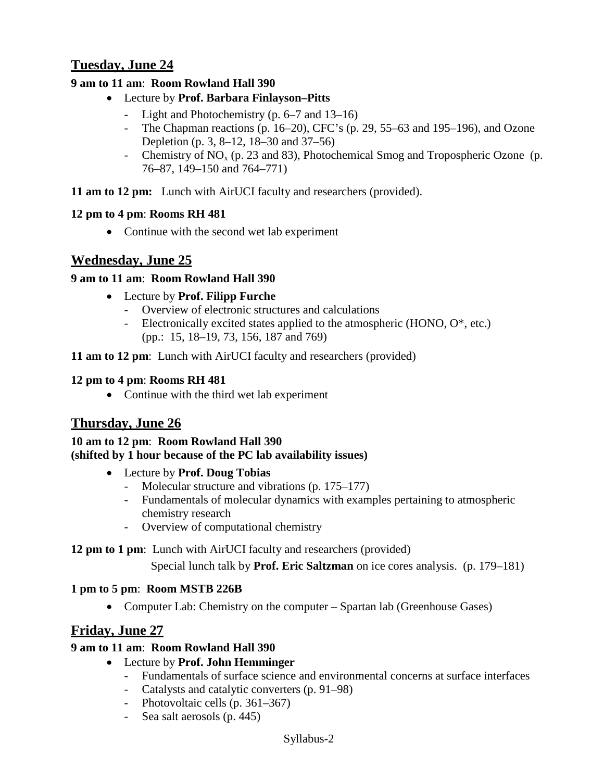# **Tuesday, June 24**

## **9 am to 11 am**: **Room Rowland Hall 390**

- Lecture by **Prof. Barbara Finlayson–Pitts**
	- Light and Photochemistry (p. 6–7 and 13–16)
	- The Chapman reactions (p. 16–20), CFC's (p. 29, 55–63 and 195–196), and Ozone Depletion (p. 3, 8–12, 18–30 and 37–56)
	- Chemistry of  $NO<sub>x</sub>$  (p. 23 and 83), Photochemical Smog and Tropospheric Ozone (p. 76–87, 149–150 and 764–771)

**11 am to 12 pm:** Lunch with AirUCI faculty and researchers (provided).

### **12 pm to 4 pm**: **Rooms RH 481**

• Continue with the second wet lab experiment

# **Wednesday, June 25**

## **9 am to 11 am**: **Room Rowland Hall 390**

- Lecture by **Prof. Filipp Furche**
	- Overview of electronic structures and calculations
	- Electronically excited states applied to the atmospheric (HONO,  $O^*$ , etc.) (pp.: 15, 18–19, 73, 156, 187 and 769)

**11 am to 12 pm**: Lunch with AirUCI faculty and researchers (provided)

### **12 pm to 4 pm**: **Rooms RH 481**

• Continue with the third wet lab experiment

# **Thursday, June 26**

#### **10 am to 12 pm**: **Room Rowland Hall 390 (shifted by 1 hour because of the PC lab availability issues)**

- Lecture by **Prof. Doug Tobias**
	- Molecular structure and vibrations (p. 175–177)
	- Fundamentals of molecular dynamics with examples pertaining to atmospheric chemistry research
	- Overview of computational chemistry

#### **12 pm to 1 pm**: Lunch with AirUCI faculty and researchers (provided)

Special lunch talk by **Prof. Eric Saltzman** on ice cores analysis. (p. 179–181)

## **1 pm to 5 pm**: **Room MSTB 226B**

• Computer Lab: Chemistry on the computer – Spartan lab (Greenhouse Gases)

# **Friday, June 27**

## **9 am to 11 am**: **Room Rowland Hall 390**

- Lecture by **Prof. John Hemminger**
	- Fundamentals of surface science and environmental concerns at surface interfaces
	- Catalysts and catalytic converters (p. 91–98)
	- Photovoltaic cells (p. 361–367)
	- Sea salt aerosols (p. 445)